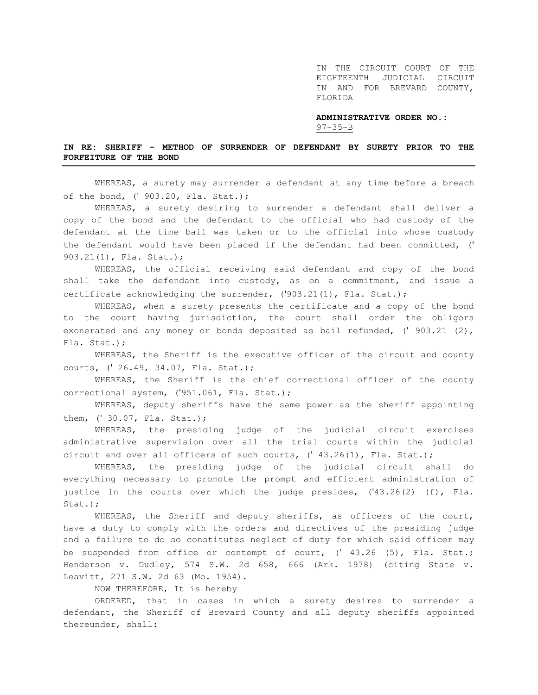IN THE CIRCUIT COURT OF THE EIGHTEENTH JUDICIAL CIRCUIT IN AND FOR BREVARD COUNTY, FLORIDA

**ADMINISTRATIVE ORDER NO.:** 97-35-B

## **IN RE: SHERIFF – METHOD OF SURRENDER OF DEFENDANT BY SURETY PRIOR TO THE FORFEITURE OF THE BOND**

WHEREAS, a surety may surrender a defendant at any time before a breach of the bond, (' 903.20, Fla. Stat.);

WHEREAS, a surety desiring to surrender a defendant shall deliver a copy of the bond and the defendant to the official who had custody of the defendant at the time bail was taken or to the official into whose custody the defendant would have been placed if the defendant had been committed, (' 903.21(1), Fla. Stat.);

WHEREAS, the official receiving said defendant and copy of the bond shall take the defendant into custody, as on a commitment, and issue a certificate acknowledging the surrender,  $('903.21(1),$  Fla. Stat.);

WHEREAS, when a surety presents the certificate and a copy of the bond to the court having jurisdiction, the court shall order the obligors exonerated and any money or bonds deposited as bail refunded, (' 903.21 (2), Fla. Stat.);

WHEREAS, the Sheriff is the executive officer of the circuit and county courts, (' 26.49, 34.07, Fla. Stat.);

WHEREAS, the Sheriff is the chief correctional officer of the county correctional system, ('951.061, Fla. Stat.);

WHEREAS, deputy sheriffs have the same power as the sheriff appointing them, (' 30.07, Fla. Stat.);

WHEREAS, the presiding judge of the judicial circuit exercises administrative supervision over all the trial courts within the judicial circuit and over all officers of such courts, (' 43.26(1), Fla. Stat.);

WHEREAS, the presiding judge of the judicial circuit shall do everything necessary to promote the prompt and efficient administration of justice in the courts over which the judge presides, ('43.26(2) (f), Fla. Stat.);

WHEREAS, the Sheriff and deputy sheriffs, as officers of the court, have a duty to comply with the orders and directives of the presiding judge and a failure to do so constitutes neglect of duty for which said officer may be suspended from office or contempt of court, (' 43.26 (5), Fla. Stat.; Henderson v. Dudley, 574 S.W. 2d 658, 666 (Ark. 1978) (citing State v. Leavitt, 271 S.W. 2d 63 (Mo. 1954).

NOW THEREFORE, It is hereby

ORDERED, that in cases in which a surety desires to surrender a defendant, the Sheriff of Brevard County and all deputy sheriffs appointed thereunder, shall: